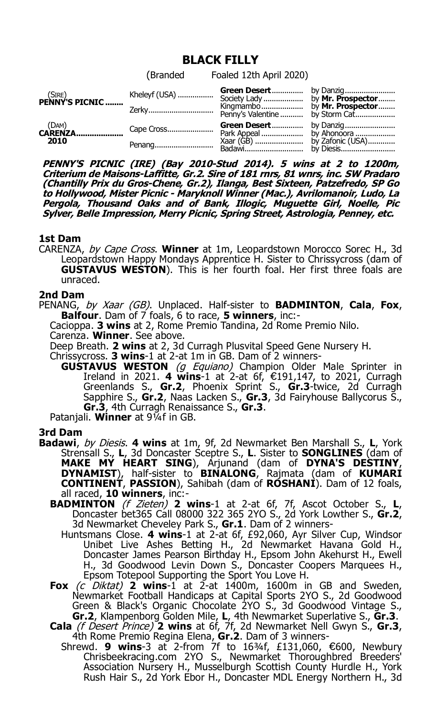# **BLACK FILLY**

|                                   | (Branded Foaled 12th April 2020) |  |
|-----------------------------------|----------------------------------|--|
| $(SIRE)$<br><b>PENNY'S PICNIC</b> |                                  |  |
| $(DAM)$<br><b>CARENZA</b><br>2010 | Green Desert by Danzig           |  |

**PENNY'S PICNIC (IRE) (Bay 2010-Stud 2014). 5 wins at 2 to 1200m, Criterium de Maisons-Laffitte, Gr.2. Sire of 181 rnrs, 81 wnrs, inc. SW Pradaro (Chantilly Prix du Gros-Chene, Gr.2), Ilanga, Best Sixteen, Patzefredo, SP Go to Hollywood, Mister Picnic - Maryknoll Winner (Mac.), Avrilomanoir, Ludo, La Pergola, Thousand Oaks and of Bank, Illogic, Muguette Girl, Noelle, Pic Sylver, Belle Impression, Merry Picnic, Spring Street, Astrologia, Penney, etc.**

### **1st Dam**

CARENZA, by Cape Cross. **Winner** at 1m, Leopardstown Morocco Sorec H., 3d Leopardstown Happy Mondays Apprentice H. Sister to Chrissycross (dam of **GUSTAVUS WESTON**). This is her fourth foal. Her first three foals are unraced.

### **2nd Dam**

PENANG, by Xaar (GB). Unplaced. Half-sister to **BADMINTON**, **Cala**, **Fox**, **Balfour**. Dam of 7 foals, 6 to race, **5 winners**, inc:-

Cacioppa. **3 wins** at 2, Rome Premio Tandina, 2d Rome Premio Nilo.

Carenza. **Winner**. See above.

Deep Breath. **2 wins** at 2, 3d Curragh Plusvital Speed Gene Nursery H.

- Chrissycross. **3 wins**-1 at 2-at 1m in GB. Dam of 2 winners-
	- **GUSTAVUS WESTON** (g Equiano) Champion Older Male Sprinter in Ireland in 2021. 4 wins-1 at 2-at 6f, €191,147, to 2021, Curragh Greenlands S., **Gr.2**, Phoenix Sprint S., **Gr.3**-twice, 2d Curragh Sapphire S., **Gr.2**, Naas Lacken S., **Gr.3**, 3d Fairyhouse Ballycorus S., **Gr.3**, 4th Curragh Renaissance S., **Gr.3**.

Patanjali. **Winner** at 9¼f in GB.

## **3rd Dam**

- **Badawi**, by Diesis. **4 wins** at 1m, 9f, 2d Newmarket Ben Marshall S., **L**, York Strensall S., **L**, 3d Doncaster Sceptre S., **L**. Sister to **SONGLINES** (dam of **MAKE MY HEART SING**), Arjunand (dam of **DYNA'S DESTINY**, **DYNAMIST**), half-sister to **BINALONG**, Rajmata (dam of **KUMARI CONTINENT**, **PASSION**), Sahibah (dam of **ROSHANI**). Dam of 12 foals, all raced, **10 winners**, inc:-
	- **BADMINTON** (f Zieten) **2 wins**-1 at 2-at 6f, 7f, Ascot October S., **L**, Doncaster bet365 Call 08000 322 365 2YO S., 2d York Lowther S., **Gr.2**, 3d Newmarket Cheveley Park S., **Gr.1**. Dam of 2 winners-
		- Huntsmans Close. **4 wins**-1 at 2-at 6f, £92,060, Ayr Silver Cup, Windsor Unibet Live Ashes Betting H., 2d Newmarket Havana Gold H., Doncaster James Pearson Birthday H., Epsom John Akehurst H., Ewell H., 3d Goodwood Levin Down S., Doncaster Coopers Marquees H., Epsom Totepool Supporting the Sport You Love H.
	- **Fox** (c Diktat) **2 wins**-1 at 2-at 1400m, 1600m in GB and Sweden, Newmarket Football Handicaps at Capital Sports 2YO S., 2d Goodwood Green & Black's Organic Chocolate 2YO S., 3d Goodwood Vintage S., **Gr.2**, Klampenborg Golden Mile, **L**, 4th Newmarket Superlative S., **Gr.3**.
	- **Cala** (f Desert Prince) **2 wins** at 6f, 7f, 2d Newmarket Nell Gwyn S., **Gr.3**, 4th Rome Premio Regina Elena, **Gr.2**. Dam of 3 winners-
		- Shrewd. **9 wins**-3 at 2-from 7f to 16¾f, £131,060, €600, Newbury Chrisbeekracing.com 2YO S., Newmarket Thoroughbred Breeders' Association Nursery H., Musselburgh Scottish County Hurdle H., York Rush Hair S., 2d York Ebor H., Doncaster MDL Energy Northern H., 3d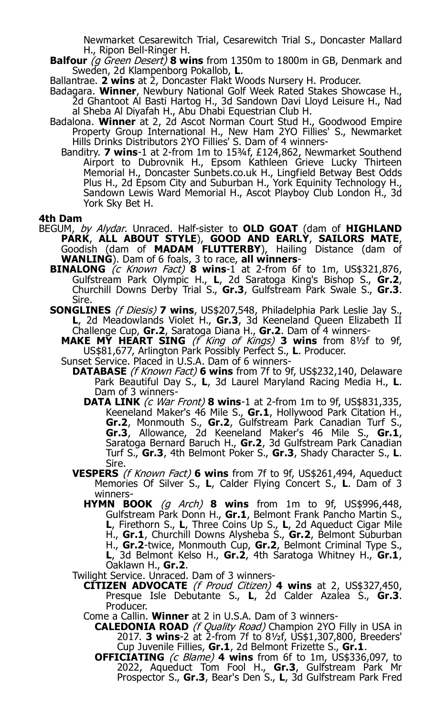Newmarket Cesarewitch Trial, Cesarewitch Trial S., Doncaster Mallard H., Ripon Bell-Ringer H.

- **Balfour** (g Green Desert) **8 wins** from 1350m to 1800m in GB, Denmark and Sweden, 2d Klampenborg Pokallob, **L**.
- Ballantrae. **2 wins** at 2, Doncaster Flakt Woods Nursery H. Producer.
- Badagara. **Winner**, Newbury National Golf Week Rated Stakes Showcase H., 2d Ghantoot Al Basti Hartog H., 3d Sandown Davi Lloyd Leisure H., Nad al Sheba Al Diyafah H., Abu Dhabi Equestrian Club H.
- Badalona. **Winner** at 2, 2d Ascot Norman Court Stud H., Goodwood Empire Property Group International H., New Ham 2YO Fillies' S., Newmarket Hills Drinks Distributors 2YO Fillies' S. Dam of 4 winners-
	- Banditry. **7 wins**-1 at 2-from 1m to 15<sup>3</sup>/<sub>4</sub>f, £124,862, Newmarket Southend Airport to Dubrovnik H., Epsom Kathleen Grieve Lucky Thirteen Memorial H., Doncaster Sunbets.co.uk H., Lingfield Betway Best Odds Plus H., 2d Epsom City and Suburban H., York Equinity Technology H., Sandown Lewis Ward Memorial H., Ascot Playboy Club London H., 3d York Sky Bet H.

#### **4th Dam**

- BEGUM, by Alydar. Unraced. Half-sister to **OLD GOAT** (dam of **HIGHLAND PARK**, **ALL ABOUT STYLE**), **GOOD AND EARLY**, **SAILORS MATE**, Goodish (dam of **MADAM FLUTTERBY**), Hailing Distance (dam of **WANLING**). Dam of 6 foals, 3 to race, **all winners**-
	- **BINALONG** (c Known Fact) **8 wins**-1 at 2-from 6f to 1m, US\$321,876, Gulfstream Park Olympic H., **L**, 2d Saratoga King's Bishop S., **Gr.2**, Churchill Downs Derby Trial S., **Gr.3**, Gulfstream Park Swale S., **Gr.3**. Sire.
	- **SONGLINES** (f Diesis) **7 wins**, US\$207,548, Philadelphia Park Leslie Jay S., **L**, 2d Meadowlands Violet H., **Gr.3**, 3d Keeneland Queen Elizabeth II Challenge Cup, **Gr.2**, Saratoga Diana H., **Gr.2**. Dam of 4 winners-
		- **MAKE MY HEART SING** (f King of Kings) **3 wins** from 8½f to 9f, US\$81,677, Arlington Park Possibly Perfect S., **L**. Producer.
		- Sunset Service. Placed in U.S.A. Dam of 6 winners-
			- **DATABASE** (f Known Fact) **6 wins** from 7f to 9f, US\$232,140, Delaware Park Beautiful Day S., **L**, 3d Laurel Maryland Racing Media H., **L**. Dam of 3 winners-
				- **DATA LINK** (c War Front) **8 wins**-1 at 2-from 1m to 9f, US\$831,335, Keeneland Maker's 46 Mile S., **Gr.1**, Hollywood Park Citation H., **Gr.2**, Monmouth S., **Gr.2**, Gulfstream Park Canadian Turf S., **Gr.3**, Allowance, 2d Keeneland Maker's 46 Mile S., **Gr.1**, Saratoga Bernard Baruch H., **Gr.2**, 3d Gulfstream Park Canadian Turf S., **Gr.3**, 4th Belmont Poker S., **Gr.3**, Shady Character S., **L**. Sire.
			- **VESPERS** (f Known Fact) **6 wins** from 7f to 9f, US\$261,494, Aqueduct Memories Of Silver S., **L**, Calder Flying Concert S., **L**. Dam of 3 winners-
				- **HYMN BOOK** (g Arch) **8 wins** from 1m to 9f, US\$996,448, Gulfstream Park Donn H., **Gr.1**, Belmont Frank Pancho Martin S., **L**, Firethorn S., **L**, Three Coins Up S., **L**, 2d Aqueduct Cigar Mile H., **Gr.1**, Churchill Downs Alysheba S., **Gr.2**, Belmont Suburban H., **Gr.2**-twice, Monmouth Cup, **Gr.2**, Belmont Criminal Type S., **L**, 3d Belmont Kelso H., **Gr.2**, 4th Saratoga Whitney H., **Gr.1**, Oaklawn H., **Gr.2**.
			- Twilight Service. Unraced. Dam of 3 winners-
				- **CITIZEN ADVOCATE** (f Proud Citizen) **4 wins** at 2, US\$327,450, Presque Isle Debutante S., **L**, 2d Calder Azalea S., **Gr.3**. Producer.
				- Come a Callin. **Winner** at 2 in U.S.A. Dam of 3 winners-
					- **CALEDONIA ROAD** (f Quality Road) Champion 2YO Filly in USA in 2017. **3 wins**-2 at 2-from 7f to 8½f, US\$1,307,800, Breeders' Cup Juvenile Fillies, **Gr.1**, 2d Belmont Frizette S., **Gr.1**.
					- **OFFICIATING** (c Blame) 4 wins from 6f to 1m, US\$336,097, to 2022, Aqueduct Tom Fool H., **Gr.3**, Gulfstream Park Mr Prospector S., **Gr.3**, Bear's Den S., **L**, 3d Gulfstream Park Fred